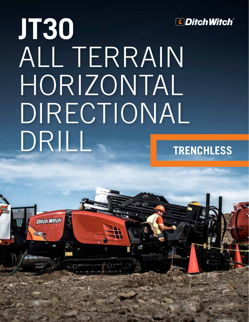

# **JT30** ALL TERRAIN HORIZONTAL DIRECTIONAL DRILL **TRENCHLESS**

**Ditch Witch**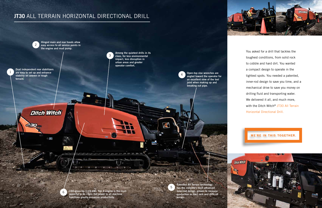## **JT30** ALL TERRAIN HORIZONTAL DIRECTIONAL DRILL





You asked for a drill that tackles the toughest conditions, from solid rock to cobble and hard dirt. You wanted a compact design to operate in the tightest spots. You needed a patented, inner-rod design to save you time, and a mechanical drive to save you money on drilling fluid and transporting water. We delivered it all, and much more, with the Ditch Witch<sup>®</sup> JT30 All Terrain Horizontal Directional Drill.

**WE'RE IN THIS TOGETHER.** 

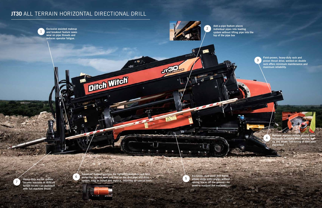## **JT30** ALL TERRAIN HORIZONTAL DIRECTIONAL DRILL



Add-a-pipe feature places individual pipes into loading system without lifting pipe into the

**ALLINE AND REAL PROPERTY** 

top of the pipe box 2

> Field-proven, heavy-duty rack and pinion thrust drive; welded-on double rack offers minimum maintenance and maximum reliability.



Optional wireless remote ground drive increases flexibility when moving the rig and allows fine-tuning of bore path placement.

4

7

Heavy-duty anchor system secures machine in difficult terrain so you can push/pull with full machine thrust.

 $\sim$  Figures



1

SaverLok**®** System provides the tightest connection and best protection against wear and tear on the drill pipe and drive system; easy to install and replace, requiring no special tools. 6

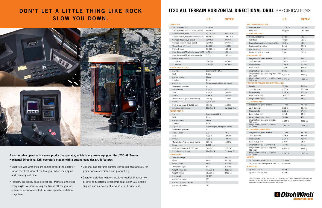## DON'T LET A LITTLE THING LIKE ROCK SLOW YOU DOWN.



A comfortable operator is a more productive operator, which is why we've equipped the JT30 All Terrain Horizontal Directional Drill operator's station with a cutting-edge design. It features:

- Open-top vise wrenches are angled toward the operator for an excellent view of the tool joint when making up and breaking out pipe.
- Industry-exclusive, double-pivot drill frame allows steep entry angles without raising the tracks off the ground; enhances operator comfort because operator's station stays level.
- Optional cab features climate-controlled heat and air, for greater operator comfort and productivity.
- Operator's station features intuitive joystick that controls all drilling functions, ergonomic seat, color LCD engine display, and an excellent view of all drill functions.

### **JT30 ALL TERRAIN HORIZONTAL DIRECTIONAL DRILL** SPECIFICATIONS

|                                        | U.S.                            | <b>METRIC</b>      |
|----------------------------------------|---------------------------------|--------------------|
| <b>OPERATION</b>                       |                                 |                    |
| Spindle speed, max                     | $225$ rpm                       |                    |
| Spindle speed, max (AT inner spindle)  | 400 rpm                         |                    |
| Spindle torque, max                    | 4,000 ft-lb                     | 5420 N·m           |
| Spindle torque, max (AT inner spindle) | 800 ft-lb                       | 1080 N·m           |
| Carriage thrust travel speed           | $120$ fpm                       | 37 m/min           |
| Carriage pullback travel speed         | $120$ fpm                       | 37 m/min           |
| Thrust force (AT mode)                 | 24,800 lb                       | 110 kN             |
| Pullback force                         | 30,000 lb                       | 133 kN             |
| Bore diameter (AT w/Rockmaster™ 822)   | 4.75 in                         | 121 mm             |
| Bore diameter (AT w/Rockmaster 86)     | $5.5$ in                        | 140 mm             |
|                                        |                                 |                    |
| Ground travel speed                    |                                 | 3.9 km/h           |
| Forward                                | $2.4$ mph                       |                    |
| Reverse                                | $2.4$ mph                       | $3.9$ km/h         |
| POWER (TIER 3) (LRC)                   |                                 |                    |
| Engine                                 | Cummins <sup>®</sup> QSB4.5     |                    |
| Fuel                                   | Diesel                          |                    |
| Cooling medium                         | Liquid                          |                    |
| Injection                              | Direct                          |                    |
| Aspiration                             | Turbocharged, charge air cooled |                    |
| Number of cylinders                    | 4                               |                    |
| Displacement                           | $275$ in <sup>3</sup>           | 4.5L               |
| Bore                                   | 4.21 in                         | 107 mm             |
| <b>Stroke</b>                          | 4.88 in                         | 124 mm             |
| Manufacturer's gross power rating      | 148 hp                          | 110 kW             |
| Rated speed                            | 2,300 rpm                       |                    |
| Peak gross power @ 2,000 rpm           | 156 hp                          | 116 kW             |
| Emissions compliance                   | EPA Tier 3                      | EU Stage IIIA      |
| <b>POWER (TIER 4)</b>                  |                                 |                    |
| Engine                                 | Cummins QSB4.5                  |                    |
| Fuel                                   | Diesel                          |                    |
| Cooling medium                         | Liquid                          |                    |
| Injection                              | Direct                          |                    |
| Aspiration                             | Turbocharged, charge air cooled |                    |
| Number of cylinders                    | 4                               |                    |
| Displacement                           | $275$ in <sup>3</sup>           | 4.5L               |
| Bore                                   | 4.21 in                         | 10/ mm             |
| Stroke                                 | 4.88 in                         | 124 mm             |
| Manufacturer's gross power rating      | 160 hp                          | 119 kW             |
| Rated speed                            | 2,300 rpm                       |                    |
| Peak gross power @ 2,200 rpm           | 163 hp                          | 122 kW             |
| Emissions compliance                   | EPA Tier 4                      | <b>EU Stage IV</b> |
| <b>DIMENSIONS</b>                      |                                 |                    |
| Transport length                       | 221 in                          | 5.61 m             |
| Width                                  | 80 in                           | 2.03 m             |
| Width, w/cab                           | 89 in                           | 2.26 m             |
| Transport height                       | 94 in                           | 2.39 m             |
| Weight, w/out pipe                     | 17,660 lb                       | 8010 kg            |
| Weight, w/cab                          | 18,560 lb                       | 8418 kg            |
| Entry angle                            | $10-16^\circ$                   |                    |
| Angle of approach                      | $19^{\circ}$                    |                    |
| Angle of approach, w/cab               | $15^{\circ}$                    |                    |
| Angle of departure                     | $18^{\circ}$                    |                    |

|                                                                                         | U.S.             | <b>METRIC</b>    |
|-----------------------------------------------------------------------------------------|------------------|------------------|
| <b>DRILLING FLUID SYSTEM</b>                                                            |                  |                  |
| Pressure, max                                                                           | 1,500 psi        | 103 bar          |
| Flow, max                                                                               | 50 gpm           | 189 I/min        |
| <b>FLUID CAPACITIES</b>                                                                 |                  |                  |
| Hydraulic reservoir                                                                     | 27 gal           | 102 L            |
| Fuel tank                                                                               | 48 gal           | 182 L            |
| Engine lubrication oil, including filter                                                | 13.7 qt          | 13 L             |
| Engine cooling system                                                                   | 24 qt            | 22.7 L           |
| Antifreeze tank                                                                         | 8 gal            | 30 L             |
| Diesel exhaust fluid tank                                                               | 5 gal            | 18.9L            |
| <b>POWER PIPE<sup>®</sup> HD</b>                                                        |                  |                  |
| Length of drill pipe, nominal                                                           | $118$ in         | 3 <sub>m</sub>   |
| Joint diameter                                                                          | 2.75 in          | 70 mm            |
| Pipe diameter                                                                           | 2.38 in          | 60 mm            |
| Bend radius                                                                             | 123 ft           | 37.5 m           |
| Weight of drill pipe, lined                                                             | 88 lb            | 40 kg            |
| Weight of drill pipe and large box, lined<br>$(48$ pipe)                                | 5,323 lb         | 2415 kg          |
| Weight of drill pipe and small box, lined<br>$(24$ pipe)                                | 2,959 lb         | 1342 kg          |
| POWER PIPE FORGED (FOR DIRT DRILLING)                                                   |                  |                  |
| Length                                                                                  | 120 in           | $3.05$ m         |
| Joint diameter                                                                          | 2.63 in          | 66.7 mm          |
| Pipe diameter                                                                           | 2.38 in          | 60 mm            |
| Bend radius, min                                                                        | 108.2 ft         | 33 m             |
| Weight of drill pipe                                                                    | 73 lb            | 33 kg            |
| <b>ALL TERRAIN PIPE</b>                                                                 |                  |                  |
| Length of drill pipe, nominal                                                           | $112$ in         | $2.84 \text{ m}$ |
| Joint diameter                                                                          | $3.25$ in        | 83 mm            |
| Pipe diameter                                                                           | $2.23$ in        | 57 mm            |
| Bend radius, min                                                                        | 145 ft           | 44 m             |
| Weight of drill pipe, lined                                                             | 100 lb           | 45 kg            |
| Weight of drill pipe and large box<br>$(35$ pipe)                                       | 4,599 lb         | 2086 kg          |
| Weight of drill pipe and small box<br>$(20$ pipe)                                       | 2,847 lb         | 1291 kg          |
| <b>ALL TERRAIN COBBLE PIPE</b>                                                          |                  |                  |
| Length of drill pipe, nominal                                                           | $112$ in         | $2.84 \text{ m}$ |
| Joint diameter                                                                          | 3.25 in          | 83 mm            |
| Pipe diameter                                                                           | 2.94 in          | 75 mm            |
| Bend radius, min                                                                        | 210 ft           | 64 m             |
| Weight of drill pipe, w/inner rod                                                       | 127 lb           | 58 kg            |
| Weight of drill pipe and large box<br>$(35$ pipe)<br>Weight of drill pipe and small box | 5,544 lb         | 2515 kg          |
| $(20$ pipe)<br><b>BATTERY</b>                                                           | 3,387 lb         | 1536 kg          |
|                                                                                         | 195 min          |                  |
| SAE reserve capacity rating<br>SAE cold crank rating @ 0°F (-18°C)                      |                  |                  |
| <b>NOISE LEVEL</b>                                                                      | 950 amps         |                  |
| Operator sound                                                                          |                  |                  |
| Operator sound w/cab                                                                    | 86 dBA<br>83 dBA |                  |
|                                                                                         |                  |                  |

Specifications are general and subject to change without notice. If exact measurements are required, equipment should be weighed and measured. Due to selected options, delivered equipment may not necessarily match that shown.